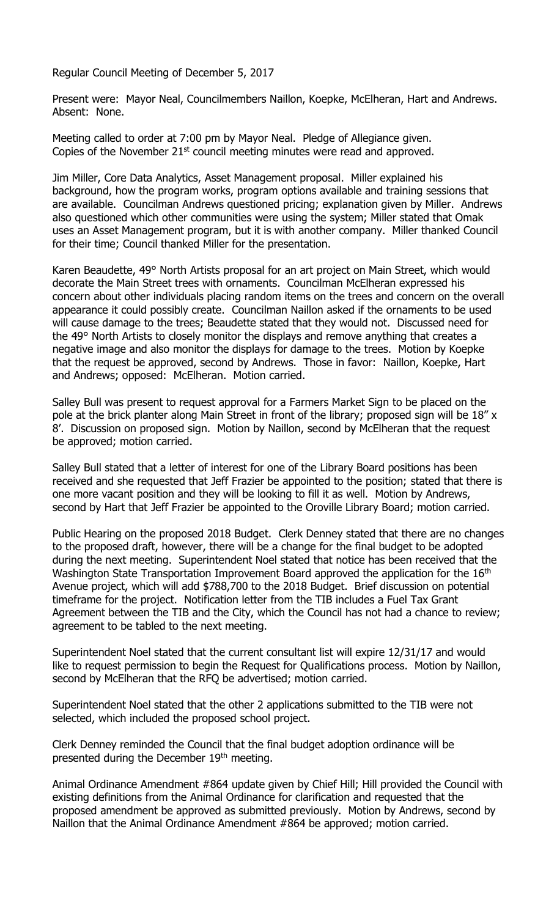Regular Council Meeting of December 5, 2017

Present were: Mayor Neal, Councilmembers Naillon, Koepke, McElheran, Hart and Andrews. Absent: None.

Meeting called to order at 7:00 pm by Mayor Neal. Pledge of Allegiance given. Copies of the November  $21<sup>st</sup>$  council meeting minutes were read and approved.

Jim Miller, Core Data Analytics, Asset Management proposal. Miller explained his background, how the program works, program options available and training sessions that are available. Councilman Andrews questioned pricing; explanation given by Miller. Andrews also questioned which other communities were using the system; Miller stated that Omak uses an Asset Management program, but it is with another company. Miller thanked Council for their time; Council thanked Miller for the presentation.

Karen Beaudette, 49° North Artists proposal for an art project on Main Street, which would decorate the Main Street trees with ornaments. Councilman McElheran expressed his concern about other individuals placing random items on the trees and concern on the overall appearance it could possibly create. Councilman Naillon asked if the ornaments to be used will cause damage to the trees; Beaudette stated that they would not. Discussed need for the 49° North Artists to closely monitor the displays and remove anything that creates a negative image and also monitor the displays for damage to the trees. Motion by Koepke that the request be approved, second by Andrews. Those in favor: Naillon, Koepke, Hart and Andrews; opposed: McElheran. Motion carried.

Salley Bull was present to request approval for a Farmers Market Sign to be placed on the pole at the brick planter along Main Street in front of the library; proposed sign will be 18" x 8'. Discussion on proposed sign. Motion by Naillon, second by McElheran that the request be approved; motion carried.

Salley Bull stated that a letter of interest for one of the Library Board positions has been received and she requested that Jeff Frazier be appointed to the position; stated that there is one more vacant position and they will be looking to fill it as well. Motion by Andrews, second by Hart that Jeff Frazier be appointed to the Oroville Library Board; motion carried.

Public Hearing on the proposed 2018 Budget. Clerk Denney stated that there are no changes to the proposed draft, however, there will be a change for the final budget to be adopted during the next meeting. Superintendent Noel stated that notice has been received that the Washington State Transportation Improvement Board approved the application for the 16<sup>th</sup> Avenue project, which will add \$788,700 to the 2018 Budget. Brief discussion on potential timeframe for the project. Notification letter from the TIB includes a Fuel Tax Grant Agreement between the TIB and the City, which the Council has not had a chance to review; agreement to be tabled to the next meeting.

Superintendent Noel stated that the current consultant list will expire 12/31/17 and would like to request permission to begin the Request for Qualifications process. Motion by Naillon, second by McElheran that the RFQ be advertised; motion carried.

Superintendent Noel stated that the other 2 applications submitted to the TIB were not selected, which included the proposed school project.

Clerk Denney reminded the Council that the final budget adoption ordinance will be presented during the December 19th meeting.

Animal Ordinance Amendment #864 update given by Chief Hill; Hill provided the Council with existing definitions from the Animal Ordinance for clarification and requested that the proposed amendment be approved as submitted previously. Motion by Andrews, second by Naillon that the Animal Ordinance Amendment #864 be approved; motion carried.